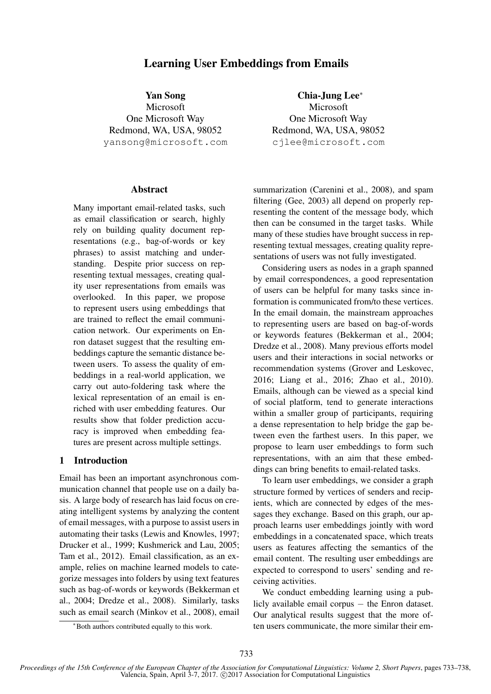# Learning User Embeddings from Emails

Yan Song Microsoft One Microsoft Way Redmond, WA, USA, 98052 yansong@microsoft.com

### **Abstract**

Many important email-related tasks, such as email classification or search, highly rely on building quality document representations (e.g., bag-of-words or key phrases) to assist matching and understanding. Despite prior success on representing textual messages, creating quality user representations from emails was overlooked. In this paper, we propose to represent users using embeddings that are trained to reflect the email communication network. Our experiments on Enron dataset suggest that the resulting embeddings capture the semantic distance between users. To assess the quality of embeddings in a real-world application, we carry out auto-foldering task where the lexical representation of an email is enriched with user embedding features. Our results show that folder prediction accuracy is improved when embedding features are present across multiple settings.

# 1 Introduction

Email has been an important asynchronous communication channel that people use on a daily basis. A large body of research has laid focus on creating intelligent systems by analyzing the content of email messages, with a purpose to assist users in automating their tasks (Lewis and Knowles, 1997; Drucker et al., 1999; Kushmerick and Lau, 2005; Tam et al., 2012). Email classification, as an example, relies on machine learned models to categorize messages into folders by using text features such as bag-of-words or keywords (Bekkerman et al., 2004; Dredze et al., 2008). Similarly, tasks such as email search (Minkov et al., 2008), email

Chia-Jung Lee<sup>∗</sup> Microsoft One Microsoft Way Redmond, WA, USA, 98052 cjlee@microsoft.com

summarization (Carenini et al., 2008), and spam filtering (Gee, 2003) all depend on properly representing the content of the message body, which then can be consumed in the target tasks. While many of these studies have brought success in representing textual messages, creating quality representations of users was not fully investigated.

Considering users as nodes in a graph spanned by email correspondences, a good representation of users can be helpful for many tasks since information is communicated from/to these vertices. In the email domain, the mainstream approaches to representing users are based on bag-of-words or keywords features (Bekkerman et al., 2004; Dredze et al., 2008). Many previous efforts model users and their interactions in social networks or recommendation systems (Grover and Leskovec, 2016; Liang et al., 2016; Zhao et al., 2010). Emails, although can be viewed as a special kind of social platform, tend to generate interactions within a smaller group of participants, requiring a dense representation to help bridge the gap between even the farthest users. In this paper, we propose to learn user embeddings to form such representations, with an aim that these embeddings can bring benefits to email-related tasks.

To learn user embeddings, we consider a graph structure formed by vertices of senders and recipients, which are connected by edges of the messages they exchange. Based on this graph, our approach learns user embeddings jointly with word embeddings in a concatenated space, which treats users as features affecting the semantics of the email content. The resulting user embeddings are expected to correspond to users' sending and receiving activities.

We conduct embedding learning using a publicly available email corpus − the Enron dataset. Our analytical results suggest that the more often users communicate, the more similar their em-

<sup>∗</sup>Both authors contributed equally to this work.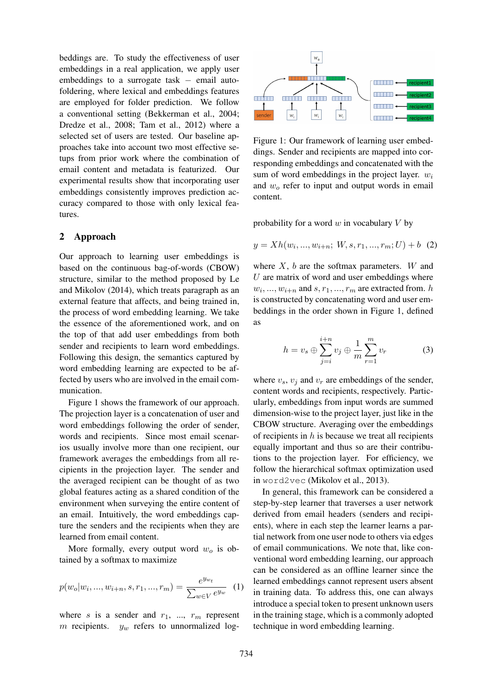beddings are. To study the effectiveness of user embeddings in a real application, we apply user embeddings to a surrogate task  $-$  email autofoldering, where lexical and embeddings features are employed for folder prediction. We follow a conventional setting (Bekkerman et al., 2004; Dredze et al., 2008; Tam et al., 2012) where a selected set of users are tested. Our baseline approaches take into account two most effective setups from prior work where the combination of email content and metadata is featurized. Our experimental results show that incorporating user embeddings consistently improves prediction accuracy compared to those with only lexical features.

### 2 Approach

Our approach to learning user embeddings is based on the continuous bag-of-words (CBOW) structure, similar to the method proposed by Le and Mikolov (2014), which treats paragraph as an external feature that affects, and being trained in, the process of word embedding learning. We take the essence of the aforementioned work, and on the top of that add user embeddings from both sender and recipients to learn word embeddings. Following this design, the semantics captured by word embedding learning are expected to be affected by users who are involved in the email communication.

Figure 1 shows the framework of our approach. The projection layer is a concatenation of user and word embeddings following the order of sender, words and recipients. Since most email scenarios usually involve more than one recipient, our framework averages the embeddings from all recipients in the projection layer. The sender and the averaged recipient can be thought of as two global features acting as a shared condition of the environment when surveying the entire content of an email. Intuitively, the word embeddings capture the senders and the recipients when they are learned from email content.

More formally, every output word  $w<sub>o</sub>$  is obtained by a softmax to maximize

$$
p(w_0|w_i, ..., w_{i+n}, s, r_1, ..., r_m) = \frac{e^{y_{w_t}}}{\sum_{w \in V} e^{y_w}} \tag{1}
$$

where s is a sender and  $r_1$ , ...,  $r_m$  represent m recipients.  $y_w$  refers to unnormalized log-



Figure 1: Our framework of learning user embeddings. Sender and recipients are mapped into corresponding embeddings and concatenated with the sum of word embeddings in the project layer.  $w_i$ and  $w<sub>o</sub>$  refer to input and output words in email content.

probability for a word  $w$  in vocabulary  $V$  by

$$
y = Xh(w_i, ..., w_{i+n}; W, s, r_1, ..., r_m; U) + b
$$
 (2)

where  $X$ ,  $b$  are the softmax parameters.  $W$  and  $U$  are matrix of word and user embeddings where  $w_i, \ldots, w_{i+n}$  and  $s, r_1, \ldots, r_m$  are extracted from. h is constructed by concatenating word and user embeddings in the order shown in Figure 1, defined as

$$
h = v_s \oplus \sum_{j=i}^{i+n} v_j \oplus \frac{1}{m} \sum_{r=1}^{m} v_r
$$
 (3)

where  $v_s$ ,  $v_j$  and  $v_r$  are embeddings of the sender, content words and recipients, respectively. Particularly, embeddings from input words are summed dimension-wise to the project layer, just like in the CBOW structure. Averaging over the embeddings of recipients in  $h$  is because we treat all recipients equally important and thus so are their contributions to the projection layer. For efficiency, we follow the hierarchical softmax optimization used in word2vec (Mikolov et al., 2013).

In general, this framework can be considered a step-by-step learner that traverses a user network derived from email headers (senders and recipients), where in each step the learner learns a partial network from one user node to others via edges of email communications. We note that, like conventional word embedding learning, our approach can be considered as an offline learner since the learned embeddings cannot represent users absent in training data. To address this, one can always introduce a special token to present unknown users in the training stage, which is a commonly adopted technique in word embedding learning.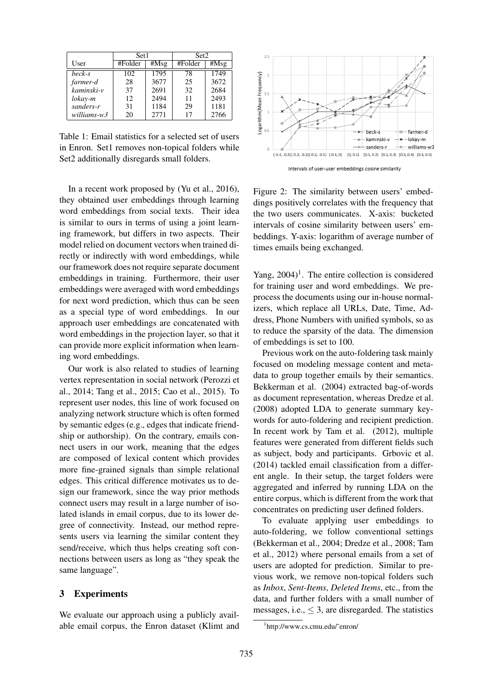|             | Set1    |      | Set2    |      |  |
|-------------|---------|------|---------|------|--|
| User        | #Folder | #Msg | #Folder | #Msg |  |
| beck-s      | 102     | 1795 | 78      | 1749 |  |
| farmer-d    | 28      | 3677 | 25      | 3672 |  |
| kaminski-v  | 37      | 2691 | 32      | 2684 |  |
| lokay-m     | 12      | 2494 | 11      | 2493 |  |
| sanders-r   | 31      | 1184 | 29      | 1181 |  |
| williams-w3 | 20      | 2771 | 17      | 2766 |  |

Table 1: Email statistics for a selected set of users in Enron. Set1 removes non-topical folders while Set2 additionally disregards small folders.

In a recent work proposed by (Yu et al., 2016), they obtained user embeddings through learning word embeddings from social texts. Their idea is similar to ours in terms of using a joint learning framework, but differs in two aspects. Their model relied on document vectors when trained directly or indirectly with word embeddings, while our framework does not require separate document embeddings in training. Furthermore, their user embeddings were averaged with word embeddings for next word prediction, which thus can be seen as a special type of word embeddings. In our approach user embeddings are concatenated with word embeddings in the projection layer, so that it can provide more explicit information when learning word embeddings.

Our work is also related to studies of learning vertex representation in social network (Perozzi et al., 2014; Tang et al., 2015; Cao et al., 2015). To represent user nodes, this line of work focused on analyzing network structure which is often formed by semantic edges (e.g., edges that indicate friendship or authorship). On the contrary, emails connect users in our work, meaning that the edges are composed of lexical content which provides more fine-grained signals than simple relational edges. This critical difference motivates us to design our framework, since the way prior methods connect users may result in a large number of isolated islands in email corpus, due to its lower degree of connectivity. Instead, our method represents users via learning the similar content they send/receive, which thus helps creating soft connections between users as long as "they speak the same language".

## 3 Experiments

We evaluate our approach using a publicly available email corpus, the Enron dataset (Klimt and



Intervals of user-user embeddings cosine similarity

Figure 2: The similarity between users' embeddings positively correlates with the frequency that the two users communicates. X-axis: bucketed intervals of cosine similarity between users' embeddings. Y-axis: logarithm of average number of times emails being exchanged.

Yang,  $2004$ <sup>1</sup>. The entire collection is considered for training user and word embeddings. We preprocess the documents using our in-house normalizers, which replace all URLs, Date, Time, Address, Phone Numbers with unified symbols, so as to reduce the sparsity of the data. The dimension of embeddings is set to 100.

Previous work on the auto-foldering task mainly focused on modeling message content and metadata to group together emails by their semantics. Bekkerman et al. (2004) extracted bag-of-words as document representation, whereas Dredze et al. (2008) adopted LDA to generate summary keywords for auto-foldering and recipient prediction. In recent work by Tam et al. (2012), multiple features were generated from different fields such as subject, body and participants. Grbovic et al. (2014) tackled email classification from a different angle. In their setup, the target folders were aggregated and inferred by running LDA on the entire corpus, which is different from the work that concentrates on predicting user defined folders.

To evaluate applying user embeddings to auto-foldering, we follow conventional settings (Bekkerman et al., 2004; Dredze et al., 2008; Tam et al., 2012) where personal emails from a set of users are adopted for prediction. Similar to previous work, we remove non-topical folders such as *Inbox*, *Sent-Items*, *Deleted Items*, etc., from the data, and further folders with a small number of messages, i.e.,  $\leq$  3, are disregarded. The statistics

<sup>1</sup> http://www.cs.cmu.edu/˜enron/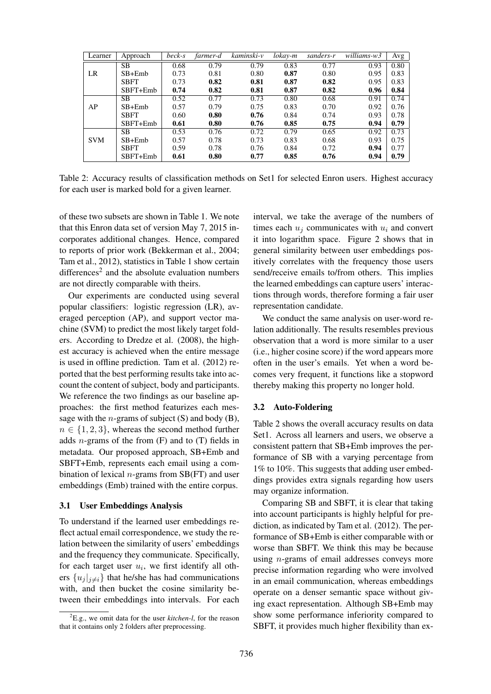| Learner    | Approach    | beck-s | farmer-d | kaminski-v | lokay-m | sanders-r | $\overline{will}$ iams-w3 | Avg  |
|------------|-------------|--------|----------|------------|---------|-----------|---------------------------|------|
| LR         | <b>SB</b>   | 0.68   | 0.79     | 0.79       | 0.83    | 0.77      | 0.93                      | 0.80 |
|            | $SB+Emb$    | 0.73   | 0.81     | 0.80       | 0.87    | 0.80      | 0.95                      | 0.83 |
|            | <b>SBFT</b> | 0.73   | 0.82     | 0.81       | 0.87    | 0.82      | 0.95                      | 0.83 |
|            | $SBFT+Emb$  | 0.74   | 0.82     | 0.81       | 0.87    | 0.82      | 0.96                      | 0.84 |
| AP         | SB.         | 0.52   | 0.77     | 0.73       | 0.80    | 0.68      | 0.91                      | 0.74 |
|            | $SB+Emb$    | 0.57   | 0.79     | 0.75       | 0.83    | 0.70      | 0.92                      | 0.76 |
|            | <b>SBFT</b> | 0.60   | 0.80     | 0.76       | 0.84    | 0.74      | 0.93                      | 0.78 |
|            | $SBFT+Emb$  | 0.61   | 0.80     | 0.76       | 0.85    | 0.75      | 0.94                      | 0.79 |
| <b>SVM</b> | SB.         | 0.53   | 0.76     | 0.72       | 0.79    | 0.65      | 0.92                      | 0.73 |
|            | $SB+Emb$    | 0.57   | 0.78     | 0.73       | 0.83    | 0.68      | 0.93                      | 0.75 |
|            | <b>SBFT</b> | 0.59   | 0.78     | 0.76       | 0.84    | 0.72      | 0.94                      | 0.77 |
|            | SBFT+Emb    | 0.61   | 0.80     | 0.77       | 0.85    | 0.76      | 0.94                      | 0.79 |

Table 2: Accuracy results of classification methods on Set1 for selected Enron users. Highest accuracy for each user is marked bold for a given learner.

of these two subsets are shown in Table 1. We note that this Enron data set of version May 7, 2015 incorporates additional changes. Hence, compared to reports of prior work (Bekkerman et al., 2004; Tam et al., 2012), statistics in Table 1 show certain differences<sup>2</sup> and the absolute evaluation numbers are not directly comparable with theirs.

Our experiments are conducted using several popular classifiers: logistic regression (LR), averaged perception (AP), and support vector machine (SVM) to predict the most likely target folders. According to Dredze et al. (2008), the highest accuracy is achieved when the entire message is used in offline prediction. Tam et al. (2012) reported that the best performing results take into account the content of subject, body and participants. We reference the two findings as our baseline approaches: the first method featurizes each message with the *n*-grams of subject  $(S)$  and body  $(B)$ ,  $n \in \{1, 2, 3\}$ , whereas the second method further adds *n*-grams of the from  $(F)$  and to  $(T)$  fields in metadata. Our proposed approach, SB+Emb and SBFT+Emb, represents each email using a combination of lexical  $n$ -grams from SB(FT) and user embeddings (Emb) trained with the entire corpus.

### 3.1 User Embeddings Analysis

To understand if the learned user embeddings reflect actual email correspondence, we study the relation between the similarity of users' embeddings and the frequency they communicate. Specifically, for each target user  $u_i$ , we first identify all others  $\{u_j|_{j\neq i}\}$  that he/she has had communications with, and then bucket the cosine similarity between their embeddings into intervals. For each

interval, we take the average of the numbers of times each  $u_i$  communicates with  $u_i$  and convert it into logarithm space. Figure 2 shows that in general similarity between user embeddings positively correlates with the frequency those users send/receive emails to/from others. This implies the learned embeddings can capture users' interactions through words, therefore forming a fair user representation candidate.

We conduct the same analysis on user-word relation additionally. The results resembles previous observation that a word is more similar to a user (i.e., higher cosine score) if the word appears more often in the user's emails. Yet when a word becomes very frequent, it functions like a stopword thereby making this property no longer hold.

#### 3.2 Auto-Foldering

Table 2 shows the overall accuracy results on data Set1. Across all learners and users, we observe a consistent pattern that SB+Emb improves the performance of SB with a varying percentage from 1% to 10%. This suggests that adding user embeddings provides extra signals regarding how users may organize information.

Comparing SB and SBFT, it is clear that taking into account participants is highly helpful for prediction, as indicated by Tam et al. (2012). The performance of SB+Emb is either comparable with or worse than SBFT. We think this may be because using n-grams of email addresses conveys more precise information regarding who were involved in an email communication, whereas embeddings operate on a denser semantic space without giving exact representation. Although SB+Emb may show some performance inferiority compared to SBFT, it provides much higher flexibility than ex-

<sup>2</sup>E.g., we omit data for the user *kitchen-l*, for the reason that it contains only 2 folders after preprocessing.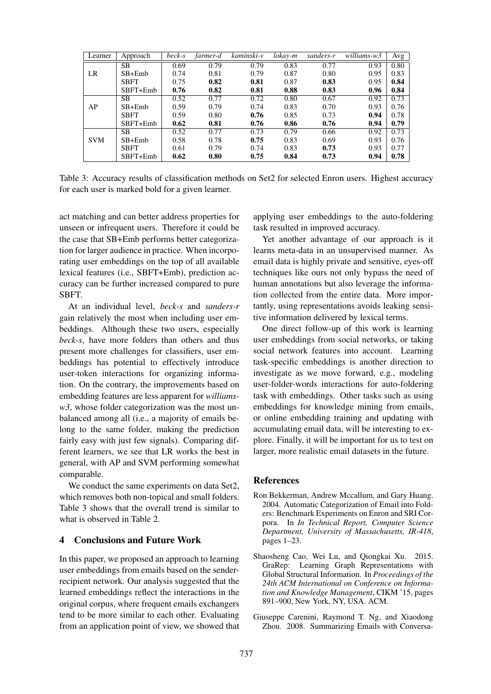| Learner    | Approach    | beck-s | farmer-d | kaminski-v | lokay-m | sanders-r | $\overline{will}$ iams-w3 | Avg  |
|------------|-------------|--------|----------|------------|---------|-----------|---------------------------|------|
| LR         | SВ          | 0.69   | 0.79     | 0.79       | 0.83    | 0.77      | 0.93                      | 0.80 |
|            | $SB+Emb$    | 0.74   | 0.81     | 0.79       | 0.87    | 0.80      | 0.95                      | 0.83 |
|            | <b>SBFT</b> | 0.75   | 0.82     | 0.81       | 0.87    | 0.83      | 0.95                      | 0.84 |
|            | SBFT+Emb    | 0.76   | 0.82     | 0.81       | 0.88    | 0.83      | 0.96                      | 0.84 |
| AP         | SВ          | 0.52   | 0.77     | 0.72       | 0.80    | 0.67      | 0.92                      | 0.73 |
|            | $SB+Emb$    | 0.59   | 0.79     | 0.74       | 0.83    | 0.70      | 0.93                      | 0.76 |
|            | <b>SBFT</b> | 0.59   | 0.80     | 0.76       | 0.85    | 0.73      | 0.94                      | 0.78 |
|            | $SBFT+Emb$  | 0.62   | 0.81     | 0.76       | 0.86    | 0.76      | 0.94                      | 0.79 |
|            | SB          | 0.52   | 0.77     | 0.73       | 0.79    | 0.66      | 0.92                      | 0.73 |
| <b>SVM</b> | $SB+Emb$    | 0.58   | 0.78     | 0.75       | 0.83    | 0.69      | 0.93                      | 0.76 |
|            | <b>SBFT</b> | 0.61   | 0.79     | 0.74       | 0.83    | 0.73      | 0.93                      | 0.77 |
|            | SBFT+Emb    | 0.62   | 0.80     | 0.75       | 0.84    | 0.73      | 0.94                      | 0.78 |

Table 3: Accuracy results of classification methods on Set2 for selected Enron users. Highest accuracy for each user is marked bold for a given learner.

act matching and can better address properties for unseen or infrequent users. Therefore it could be the case that SB+Emb performs better categorization for larger audience in practice. When incorporating user embeddings on the top of all available lexical features (i.e., SBFT+Emb), prediction accuracy can be further increased compared to pure **SBFT.** 

At an individual level, *beck-s* and *sanders-r* gain relatively the most when including user embeddings. Although these two users, especially *beck-s*, have more folders than others and thus present more challenges for classifiers, user embeddings has potential to effectively introduce user-token interactions for organizing information. On the contrary, the improvements based on embedding features are less apparent for *williams*w3, whose folder categorization was the most unbalanced among all (i.e., a majority of emails belong to the same folder, making the prediction fairly easy with just few signals). Comparing different learners, we see that LR works the best in general, with AP and SVM performing somewhat comparable.

We conduct the same experiments on data Set2, which removes both non-topical and small folders. Table 3 shows that the overall trend is similar to what is observed in Table 2.

# 4 Conclusions and Future Work

In this paper, we proposed an approach to learning user embeddings from emails based on the senderrecipient network. Our analysis suggested that the learned embeddings reflect the interactions in the original corpus, where frequent emails exchangers tend to be more similar to each other. Evaluating from an application point of view, we showed that applying user embeddings to the auto-foldering task resulted in improved accuracy.

Yet another advantage of our approach is it learns meta-data in an unsupervised manner. As email data is highly private and sensitive, eyes-off techniques like ours not only bypass the need of human annotations but also leverage the information collected from the entire data. More importantly, using representations avoids leaking sensitive information delivered by lexical terms.

One direct follow-up of this work is learning user embeddings from social networks, or taking social network features into account. Learning task-specific embeddings is another direction to investigate as we move forward, e.g., modeling user-folder-words interactions for auto-foldering task with embeddings. Other tasks such as using embeddings for knowledge mining from emails, or online embedding training and updating with accumulating email data, will be interesting to explore. Finally, it will be important for us to test on larger, more realistic email datasets in the future.

#### **References**

- Ron Bekkerman, Andrew Mccallum, and Gary Huang. 2004. Automatic Categorization of Email into Folders: Benchmark Experiments on Enron and SRI Corpora. In *In Technical Report, Computer Science Department, University of Massachusetts, IR-418*, pages 1–23.
- Shaosheng Cao, Wei Lu, and Qiongkai Xu. 2015. GraRep: Learning Graph Representations with Global Structural Information. In *Proceedings of the 24th ACM International on Conference on Information and Knowledge Management*, CIKM '15, pages 891–900, New York, NY, USA. ACM.
- Giuseppe Carenini, Raymond T. Ng, and Xiaodong Zhou. 2008. Summarizing Emails with Conversa-